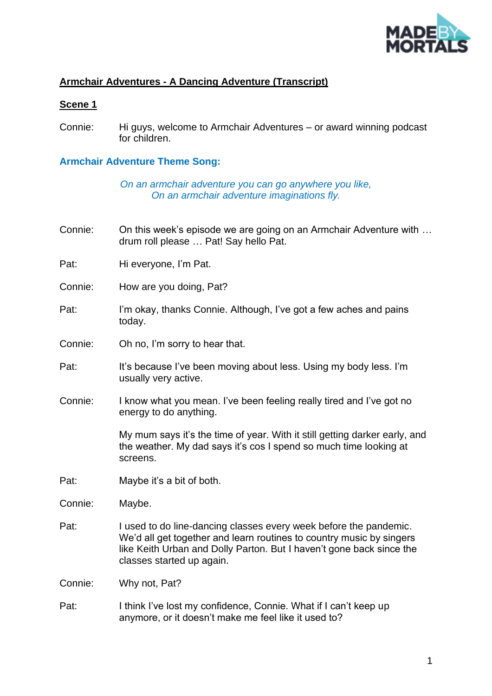

## **Armchair Adventures - A Dancing Adventure (Transcript)**

#### **Scene 1**

Connie: Hi guys, welcome to Armchair Adventures – or award winning podcast for children.

#### **Armchair Adventure Theme Song:**

*On an armchair adventure you can go anywhere you like, On an armchair adventure imaginations fly.*

- Connie: On this week's episode we are going on an Armchair Adventure with … drum roll please … Pat! Say hello Pat.
- Pat: Hi everyone, I'm Pat.
- Connie: How are you doing, Pat?
- Pat: I'm okay, thanks Connie. Although, I've got a few aches and pains today.
- Connie: Oh no, I'm sorry to hear that.
- Pat: It's because I've been moving about less. Using my body less. I'm usually very active.
- Connie: I know what you mean. I've been feeling really tired and I've got no energy to do anything.

My mum says it's the time of year. With it still getting darker early, and the weather. My dad says it's cos I spend so much time looking at screens.

Pat: Maybe it's a bit of both.

Connie: Maybe.

Pat: I used to do line-dancing classes every week before the pandemic. We'd all get together and learn routines to country music by singers like Keith Urban and Dolly Parton. But I haven't gone back since the classes started up again.

Connie: Why not, Pat?

Pat: I think I've lost my confidence, Connie. What if I can't keep up anymore, or it doesn't make me feel like it used to?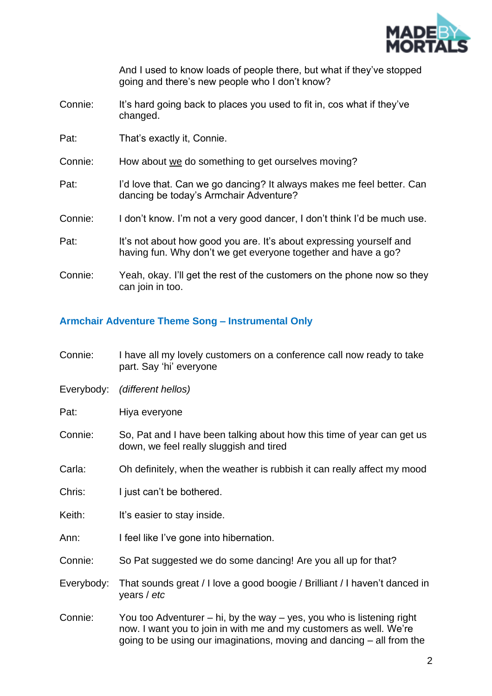

And I used to know loads of people there, but what if they've stopped going and there's new people who I don't know?

- Connie: It's hard going back to places you used to fit in, cos what if they've changed.
- Pat: That's exactly it, Connie.
- Connie: How about we do something to get ourselves moving?
- Pat: I'd love that. Can we go dancing? It always makes me feel better. Can dancing be today's Armchair Adventure?
- Connie: I don't know. I'm not a very good dancer, I don't think I'd be much use.
- Pat: It's not about how good you are. It's about expressing yourself and having fun. Why don't we get everyone together and have a go?
- Connie: Yeah, okay. I'll get the rest of the customers on the phone now so they can join in too.

#### **Armchair Adventure Theme Song – Instrumental Only**

- Connie: I have all my lovely customers on a conference call now ready to take part. Say 'hi' everyone
- Everybody: *(different hellos)*
- Pat: Hiya everyone
- Connie: So, Pat and I have been talking about how this time of year can get us down, we feel really sluggish and tired
- Carla: Oh definitely, when the weather is rubbish it can really affect my mood
- Chris: I just can't be bothered.
- Keith: It's easier to stay inside.
- Ann: I feel like I've gone into hibernation.
- Connie: So Pat suggested we do some dancing! Are you all up for that?
- Everybody: That sounds great / I love a good boogie / Brilliant / I haven't danced in years / *etc*

Connie: You too Adventurer – hi, by the way – yes, you who is listening right now. I want you to join in with me and my customers as well. We're going to be using our imaginations, moving and dancing – all from the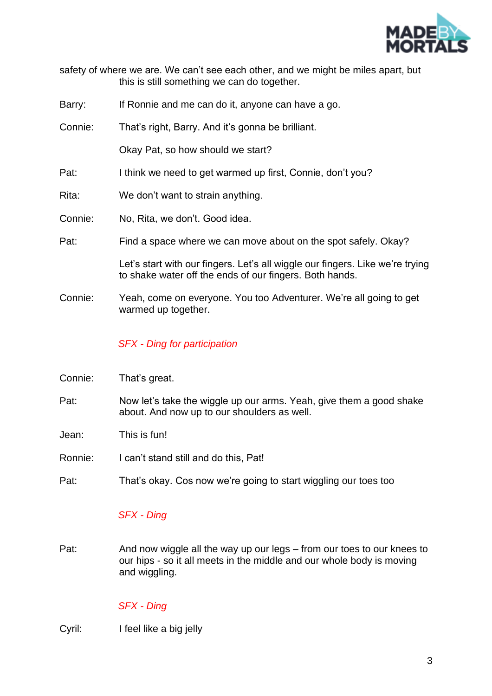

| safety of where we are. We can't see each other, and we might be miles apart, but |                                             |  |  |  |
|-----------------------------------------------------------------------------------|---------------------------------------------|--|--|--|
|                                                                                   | this is still something we can do together. |  |  |  |

Barry: If Ronnie and me can do it, anyone can have a go.

Connie: That's right, Barry. And it's gonna be brilliant.

Okay Pat, so how should we start?

- Pat: I think we need to get warmed up first, Connie, don't you?
- Rita: We don't want to strain anything.
- Connie: No, Rita, we don't. Good idea.
- Pat: Find a space where we can move about on the spot safely. Okay?

Let's start with our fingers. Let's all wiggle our fingers. Like we're trying to shake water off the ends of our fingers. Both hands.

Connie: Yeah, come on everyone. You too Adventurer. We're all going to get warmed up together.

#### *SFX - Ding for participation*

- Connie: That's great.
- Pat: Now let's take the wiggle up our arms. Yeah, give them a good shake about. And now up to our shoulders as well.
- Jean: This is fun!
- Ronnie: I can't stand still and do this, Pat!
- Pat: That's okay. Cos now we're going to start wiggling our toes too

#### *SFX - Ding*

Pat: And now wiggle all the way up our legs – from our toes to our knees to our hips - so it all meets in the middle and our whole body is moving and wiggling.

#### *SFX - Ding*

Cyril: I feel like a big jelly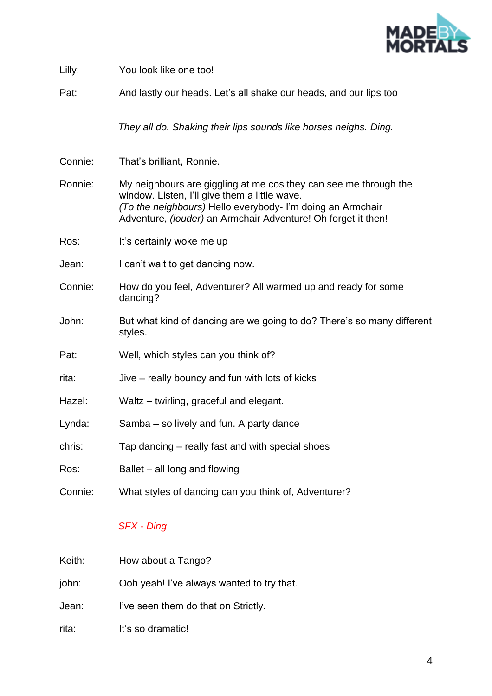

| Lilly:  | You look like one too!                                                                                                                                                                                                                                  |
|---------|---------------------------------------------------------------------------------------------------------------------------------------------------------------------------------------------------------------------------------------------------------|
| Pat:    | And lastly our heads. Let's all shake our heads, and our lips too                                                                                                                                                                                       |
|         | They all do. Shaking their lips sounds like horses neighs. Ding.                                                                                                                                                                                        |
| Connie: | That's brilliant, Ronnie.                                                                                                                                                                                                                               |
| Ronnie: | My neighbours are giggling at me cos they can see me through the<br>window. Listen, I'll give them a little wave.<br>(To the neighbours) Hello everybody- I'm doing an Armchair<br>Adventure, <i>(louder)</i> an Armchair Adventure! Oh forget it then! |
| Ros:    | It's certainly woke me up                                                                                                                                                                                                                               |
| Jean:   | I can't wait to get dancing now.                                                                                                                                                                                                                        |
| Connie: | How do you feel, Adventurer? All warmed up and ready for some<br>dancing?                                                                                                                                                                               |
| John:   | But what kind of dancing are we going to do? There's so many different<br>styles.                                                                                                                                                                       |
| Pat:    | Well, which styles can you think of?                                                                                                                                                                                                                    |
| rita:   | Jive – really bouncy and fun with lots of kicks                                                                                                                                                                                                         |
| Hazel:  | Waltz – twirling, graceful and elegant.                                                                                                                                                                                                                 |
| Lynda:  | Samba – so lively and fun. A party dance                                                                                                                                                                                                                |
| chris:  | Tap dancing – really fast and with special shoes                                                                                                                                                                                                        |
| Ros:    | Ballet – all long and flowing                                                                                                                                                                                                                           |
| Connie: | What styles of dancing can you think of, Adventurer?                                                                                                                                                                                                    |

# *SFX - Ding*

| Keith: | How about a Tango?                        |
|--------|-------------------------------------------|
| john:  | Ooh yeah! I've always wanted to try that. |
| Jean:  | I've seen them do that on Strictly.       |
| rita:  | It's so dramatic!                         |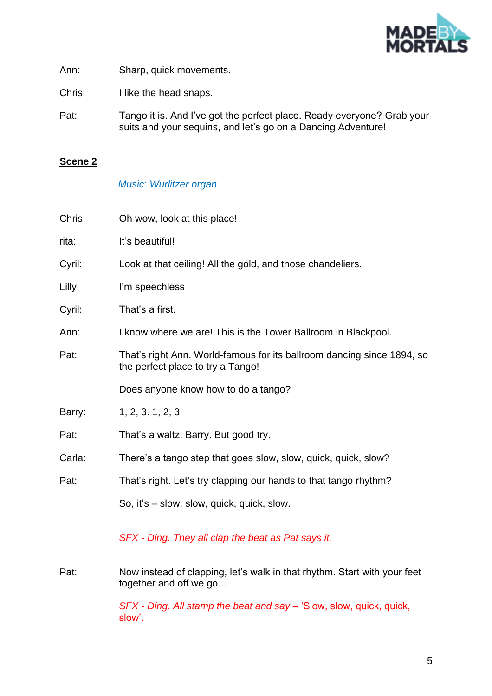

Ann: Sharp, quick movements.

Chris: I like the head snaps.

Pat: Tango it is. And I've got the perfect place. Ready everyone? Grab your suits and your sequins, and let's go on a Dancing Adventure!

## **Scene 2**

## *Music: Wurlitzer organ*

| Chris: | Oh wow, look at this place!                                                                                 |
|--------|-------------------------------------------------------------------------------------------------------------|
| rita:  | It's beautiful!                                                                                             |
| Cyril: | Look at that ceiling! All the gold, and those chandeliers.                                                  |
| Lilly: | I'm speechless                                                                                              |
| Cyril: | That's a first.                                                                                             |
| Ann:   | I know where we are! This is the Tower Ballroom in Blackpool.                                               |
| Pat:   | That's right Ann. World-famous for its ballroom dancing since 1894, so<br>the perfect place to try a Tango! |
|        | Does anyone know how to do a tango?                                                                         |
| Barry: | 1, 2, 3, 1, 2, 3.                                                                                           |
| Pat:   | That's a waltz, Barry. But good try.                                                                        |
| Carla: | There's a tango step that goes slow, slow, quick, quick, slow?                                              |
| Pat:   | That's right. Let's try clapping our hands to that tango rhythm?                                            |
|        | So, it's – slow, slow, quick, quick, slow.                                                                  |
|        | SFX - Ding. They all clap the beat as Pat says it.                                                          |
| Pat:   | Now instead of clapping, let's walk in that rhythm. Start with your feet<br>together and off we go          |
|        | SFX - Ding. All stamp the beat and say – 'Slow, slow, quick, quick,<br>slow'.                               |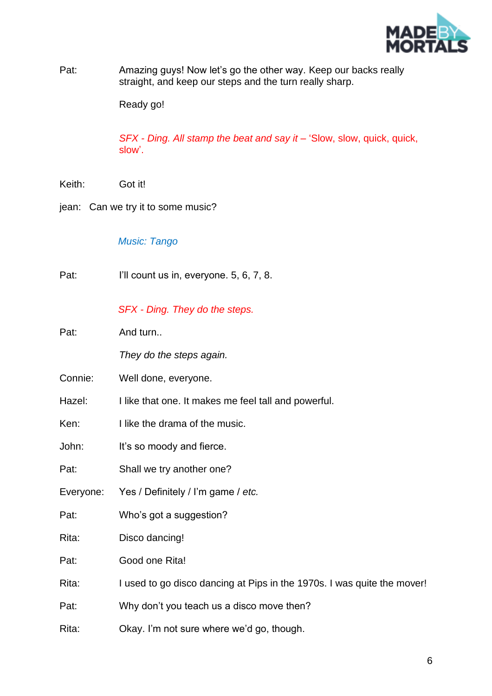

Pat: Amazing guys! Now let's go the other way. Keep our backs really straight, and keep our steps and the turn really sharp.

Ready go!

*SFX - Ding. All stamp the beat and say it –* 'Slow, slow, quick, quick, slow'.

Keith: Got it!

jean: Can we try it to some music?

*Music: Tango*

Pat: I'll count us in, everyone. 5, 6, 7, 8.

*SFX - Ding. They do the steps.*

Pat: And turn..

*They do the steps again.*

- Connie: Well done, everyone.
- Hazel: I like that one. It makes me feel tall and powerful.
- Ken: I like the drama of the music.
- John: It's so moody and fierce.
- Pat: Shall we try another one?
- Everyone: Yes / Definitely / I'm game / *etc.*
- Pat: Who's got a suggestion?
- Rita: Disco dancing!
- Pat: Good one Rita!
- Rita: I used to go disco dancing at Pips in the 1970s. I was quite the mover!
- Pat: Why don't you teach us a disco move then?
- Rita: Okay. I'm not sure where we'd go, though.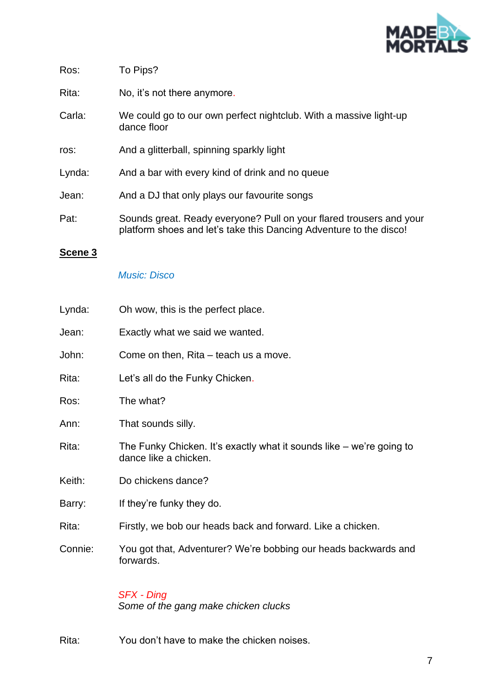

| Ros: | To Pips? |
|------|----------|
|------|----------|

Rita: No, it's not there anymore.

- Carla: We could go to our own perfect nightclub. With a massive light-up dance floor
- ros: And a glitterball, spinning sparkly light
- Lynda: And a bar with every kind of drink and no queue
- Jean: And a DJ that only plays our favourite songs
- Pat: Sounds great. Ready everyone? Pull on your flared trousers and your platform shoes and let's take this Dancing Adventure to the disco!

#### **Scene 3**

#### *Music: Disco*

| Lynda:  | Oh wow, this is the perfect place.                                                            |
|---------|-----------------------------------------------------------------------------------------------|
| Jean:   | Exactly what we said we wanted.                                                               |
| John:   | Come on then, Rita – teach us a move.                                                         |
| Rita:   | Let's all do the Funky Chicken.                                                               |
| Ros:    | The what?                                                                                     |
| Ann:    | That sounds silly.                                                                            |
| Rita:   | The Funky Chicken. It's exactly what it sounds like – we're going to<br>dance like a chicken. |
| Keith:  | Do chickens dance?                                                                            |
| Barry:  | If they're funky they do.                                                                     |
| Rita:   | Firstly, we bob our heads back and forward. Like a chicken.                                   |
| Connie: | You got that, Adventurer? We're bobbing our heads backwards and<br>forwards.                  |
|         | SFX - Ding<br>Some of the gang make chicken clucks                                            |

Rita: You don't have to make the chicken noises.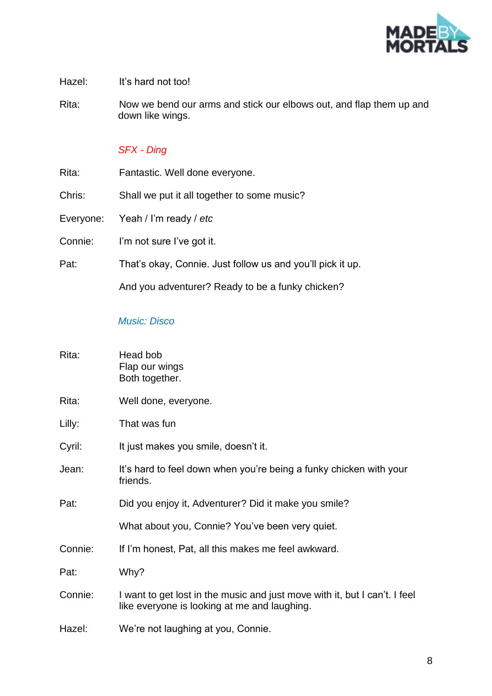

Hazel: It's hard not too!

Rita: Now we bend our arms and stick our elbows out, and flap them up and down like wings.

## *SFX - Ding*

| Rita: | Fantastic. Well done everyone. |  |  |
|-------|--------------------------------|--|--|
|       |                                |  |  |

Chris: Shall we put it all together to some music?

Everyone: Yeah / I'm ready / *etc*

Connie: I'm not sure I've got it.

Pat: That's okay, Connie. Just follow us and you'll pick it up.

And you adventurer? Ready to be a funky chicken?

## *Music: Disco*

| Rita:   | Head bob<br>Flap our wings<br>Both together.                                                                               |
|---------|----------------------------------------------------------------------------------------------------------------------------|
| Rita:   | Well done, everyone.                                                                                                       |
| Lilly:  | That was fun                                                                                                               |
| Cyril:  | It just makes you smile, doesn't it.                                                                                       |
| Jean:   | It's hard to feel down when you're being a funky chicken with your<br>friends.                                             |
| Pat:    | Did you enjoy it, Adventurer? Did it make you smile?                                                                       |
|         | What about you, Connie? You've been very quiet.                                                                            |
| Connie: | If I'm honest, Pat, all this makes me feel awkward.                                                                        |
| Pat:    | Why?                                                                                                                       |
| Connie: | I want to get lost in the music and just move with it, but I can't. I feel<br>like everyone is looking at me and laughing. |
| Hazel:  | We're not laughing at you, Connie.                                                                                         |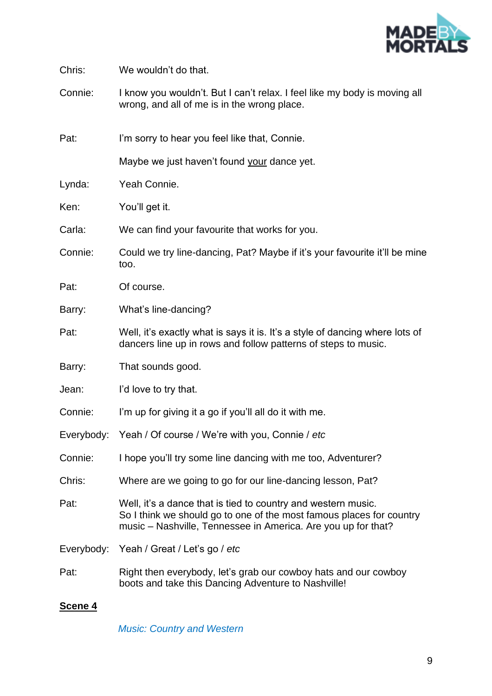

Chris: We wouldn't do that.

Connie: I know you wouldn't. But I can't relax. I feel like my body is moving all wrong, and all of me is in the wrong place.

Pat: I'm sorry to hear you feel like that, Connie.

Maybe we just haven't found your dance yet.

Lynda: Yeah Connie.

Ken: You'll get it.

Carla: We can find your favourite that works for you.

- Connie: Could we try line-dancing, Pat? Maybe if it's your favourite it'll be mine too.
- Pat: Of course.
- Barry: What's line-dancing?
- Pat: Well, it's exactly what is says it is. It's a style of dancing where lots of dancers line up in rows and follow patterns of steps to music.
- Barry: That sounds good.
- Jean: I'd love to try that.
- Connie: I'm up for giving it a go if you'll all do it with me.
- Everybody: Yeah / Of course / We're with you, Connie / *etc*
- Connie: I hope you'll try some line dancing with me too, Adventurer?
- Chris: Where are we going to go for our line-dancing lesson, Pat?
- Pat: Well, it's a dance that is tied to country and western music. So I think we should go to one of the most famous places for country music – Nashville, Tennessee in America. Are you up for that?

Everybody: Yeah / Great / Let's go / *etc*

Pat: Right then everybody, let's grab our cowboy hats and our cowboy boots and take this Dancing Adventure to Nashville!

#### **Scene 4**

*Music: Country and Western*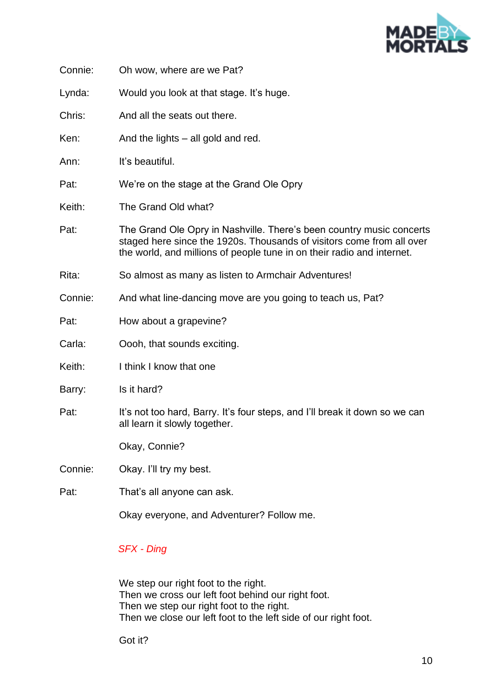

| Connie: | Oh wow, where are we Pat?                                                                                                                                                                                               |
|---------|-------------------------------------------------------------------------------------------------------------------------------------------------------------------------------------------------------------------------|
| Lynda:  | Would you look at that stage. It's huge.                                                                                                                                                                                |
| Chris:  | And all the seats out there.                                                                                                                                                                                            |
| Ken:    | And the lights – all gold and red.                                                                                                                                                                                      |
| Ann:    | It's beautiful.                                                                                                                                                                                                         |
| Pat:    | We're on the stage at the Grand Ole Opry                                                                                                                                                                                |
| Keith:  | The Grand Old what?                                                                                                                                                                                                     |
| Pat:    | The Grand Ole Opry in Nashville. There's been country music concerts<br>staged here since the 1920s. Thousands of visitors come from all over<br>the world, and millions of people tune in on their radio and internet. |
| Rita:   | So almost as many as listen to Armchair Adventures!                                                                                                                                                                     |
| Connie: | And what line-dancing move are you going to teach us, Pat?                                                                                                                                                              |
| Pat:    | How about a grapevine?                                                                                                                                                                                                  |
| Carla:  | Oooh, that sounds exciting.                                                                                                                                                                                             |
| Keith:  | I think I know that one                                                                                                                                                                                                 |
| Barry:  | Is it hard?                                                                                                                                                                                                             |
| Pat:    | It's not too hard, Barry. It's four steps, and I'll break it down so we can<br>all learn it slowly together.                                                                                                            |
|         | Okay, Connie?                                                                                                                                                                                                           |
| Connie: | Okay. I'll try my best.                                                                                                                                                                                                 |
| Pat:    | That's all anyone can ask.                                                                                                                                                                                              |
|         | Okay everyone, and Adventurer? Follow me.                                                                                                                                                                               |

*SFX - Ding* 

We step our right foot to the right. Then we cross our left foot behind our right foot. Then we step our right foot to the right. Then we close our left foot to the left side of our right foot.

Got it?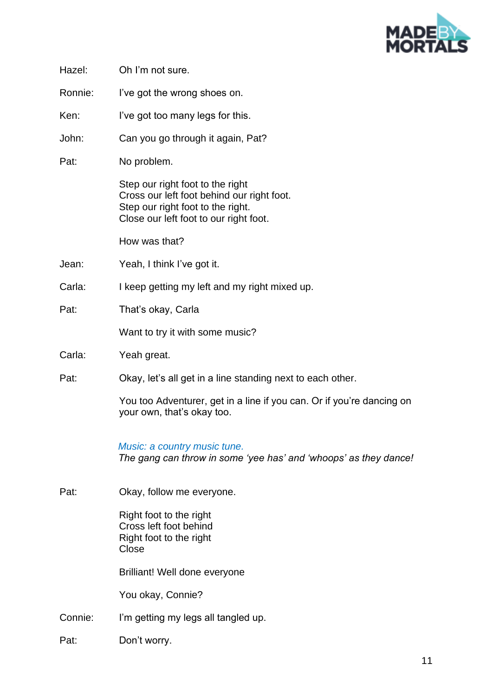

| Hazel:  | Oh I'm not sure.                                                                                                                                              |
|---------|---------------------------------------------------------------------------------------------------------------------------------------------------------------|
| Ronnie: | I've got the wrong shoes on.                                                                                                                                  |
| Ken:    | I've got too many legs for this.                                                                                                                              |
| John:   | Can you go through it again, Pat?                                                                                                                             |
| Pat:    | No problem.                                                                                                                                                   |
|         | Step our right foot to the right<br>Cross our left foot behind our right foot.<br>Step our right foot to the right.<br>Close our left foot to our right foot. |
|         | How was that?                                                                                                                                                 |
| Jean:   | Yeah, I think I've got it.                                                                                                                                    |
| Carla:  | I keep getting my left and my right mixed up.                                                                                                                 |
| Pat:    | That's okay, Carla                                                                                                                                            |
|         | Want to try it with some music?                                                                                                                               |
| Carla:  | Yeah great.                                                                                                                                                   |
| Pat:    | Okay, let's all get in a line standing next to each other.                                                                                                    |
|         | You too Adventurer, get in a line if you can. Or if you're dancing on<br>your own, that's okay too.                                                           |
|         | Music: a country music tune.<br>The gang can throw in some 'yee has' and 'whoops' as they dance!                                                              |
| Pat:    | Okay, follow me everyone.                                                                                                                                     |
|         | Right foot to the right<br>Cross left foot behind<br>Right foot to the right<br>Close                                                                         |
|         | Brilliant! Well done everyone                                                                                                                                 |
|         | You okay, Connie?                                                                                                                                             |
| Connie: | I'm getting my legs all tangled up.                                                                                                                           |
| Pat:    | Don't worry.                                                                                                                                                  |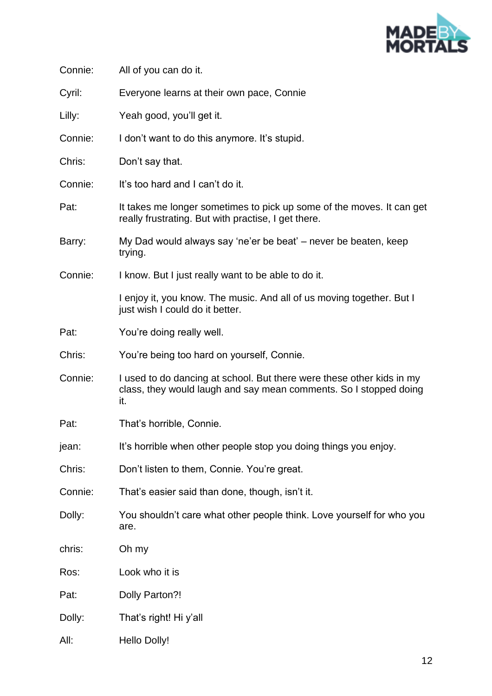

| Connie: | All of you can do it.                                                                                                                             |
|---------|---------------------------------------------------------------------------------------------------------------------------------------------------|
| Cyril:  | Everyone learns at their own pace, Connie                                                                                                         |
| Lilly:  | Yeah good, you'll get it.                                                                                                                         |
| Connie: | I don't want to do this anymore. It's stupid.                                                                                                     |
| Chris:  | Don't say that.                                                                                                                                   |
| Connie: | It's too hard and I can't do it.                                                                                                                  |
| Pat:    | It takes me longer sometimes to pick up some of the moves. It can get<br>really frustrating. But with practise, I get there.                      |
| Barry:  | My Dad would always say 'ne'er be beat' – never be beaten, keep<br>trying.                                                                        |
| Connie: | I know. But I just really want to be able to do it.                                                                                               |
|         | I enjoy it, you know. The music. And all of us moving together. But I<br>just wish I could do it better.                                          |
| Pat:    | You're doing really well.                                                                                                                         |
| Chris:  | You're being too hard on yourself, Connie.                                                                                                        |
| Connie: | I used to do dancing at school. But there were these other kids in my<br>class, they would laugh and say mean comments. So I stopped doing<br>it. |
| Pat:    | That's horrible, Connie.                                                                                                                          |
| jean:   | It's horrible when other people stop you doing things you enjoy.                                                                                  |
| Chris:  | Don't listen to them, Connie. You're great.                                                                                                       |
| Connie: | That's easier said than done, though, isn't it.                                                                                                   |
| Dolly:  | You shouldn't care what other people think. Love yourself for who you<br>are.                                                                     |
| chris:  | Oh my                                                                                                                                             |
| Ros:    | Look who it is                                                                                                                                    |
| Pat:    | Dolly Parton?!                                                                                                                                    |
| Dolly:  | That's right! Hi y'all                                                                                                                            |
| All:    | Hello Dolly!                                                                                                                                      |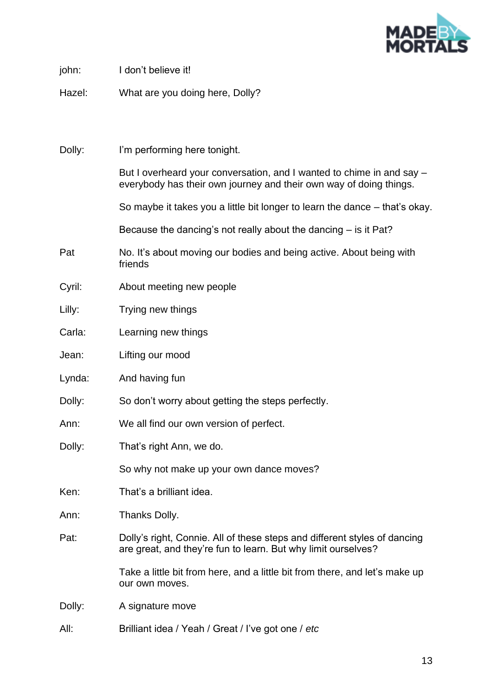

| john:  | I don't believe it!                                                                                                                         |
|--------|---------------------------------------------------------------------------------------------------------------------------------------------|
| Hazel: | What are you doing here, Dolly?                                                                                                             |
|        |                                                                                                                                             |
|        |                                                                                                                                             |
| Dolly: | I'm performing here tonight.                                                                                                                |
|        | But I overheard your conversation, and I wanted to chime in and say –<br>everybody has their own journey and their own way of doing things. |
|        | So maybe it takes you a little bit longer to learn the dance – that's okay.                                                                 |
|        | Because the dancing's not really about the dancing $-$ is it Pat?                                                                           |
| Pat    | No. It's about moving our bodies and being active. About being with<br>friends                                                              |
| Cyril: | About meeting new people                                                                                                                    |
| Lilly: | Trying new things                                                                                                                           |
| Carla: | Learning new things                                                                                                                         |
| Jean:  | Lifting our mood                                                                                                                            |
| Lynda: | And having fun                                                                                                                              |
| Dolly: | So don't worry about getting the steps perfectly.                                                                                           |
| Ann:   | We all find our own version of perfect.                                                                                                     |
| Dolly: | That's right Ann, we do.                                                                                                                    |
|        | So why not make up your own dance moves?                                                                                                    |
| Ken:   | That's a brilliant idea.                                                                                                                    |
| Ann:   | Thanks Dolly.                                                                                                                               |
| Pat:   | Dolly's right, Connie. All of these steps and different styles of dancing<br>are great, and they're fun to learn. But why limit ourselves?  |
|        | Take a little bit from here, and a little bit from there, and let's make up<br>our own moves.                                               |
| Dolly: | A signature move                                                                                                                            |
| All:   | Brilliant idea / Yeah / Great / I've got one / etc                                                                                          |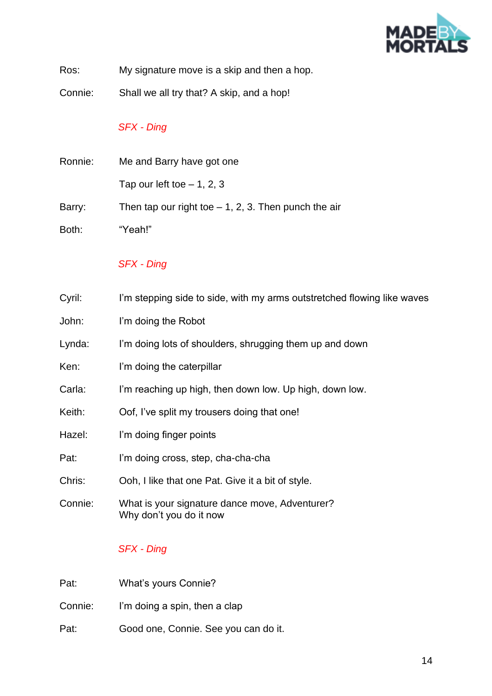

Ros: My signature move is a skip and then a hop.

Connie: Shall we all try that? A skip, and a hop!

# *SFX - Ding*

| Ronnie: | Me and Barry have got one                              |
|---------|--------------------------------------------------------|
|         | Tap our left toe $-1$ , 2, 3                           |
| Barry:  | Then tap our right toe $-1$ , 2, 3. Then punch the air |
| Both:   | "Yeah!"                                                |

## *SFX - Ding*

| Cyril: | I'm stepping side to side, with my arms outstretched flowing like waves |
|--------|-------------------------------------------------------------------------|
|--------|-------------------------------------------------------------------------|

- John: I'm doing the Robot
- Lynda: I'm doing lots of shoulders, shrugging them up and down
- Ken: I'm doing the caterpillar
- Carla: I'm reaching up high, then down low. Up high, down low.
- Keith: Oof, I've split my trousers doing that one!
- Hazel: I'm doing finger points
- Pat: I'm doing cross, step, cha-cha-cha
- Chris: Ooh, I like that one Pat. Give it a bit of style.
- Connie: What is your signature dance move, Adventurer? Why don't you do it now

# *SFX - Ding*

| Pat:    | What's yours Connie?                 |
|---------|--------------------------------------|
| Connie: | I'm doing a spin, then a clap        |
| Pat:    | Good one, Connie. See you can do it. |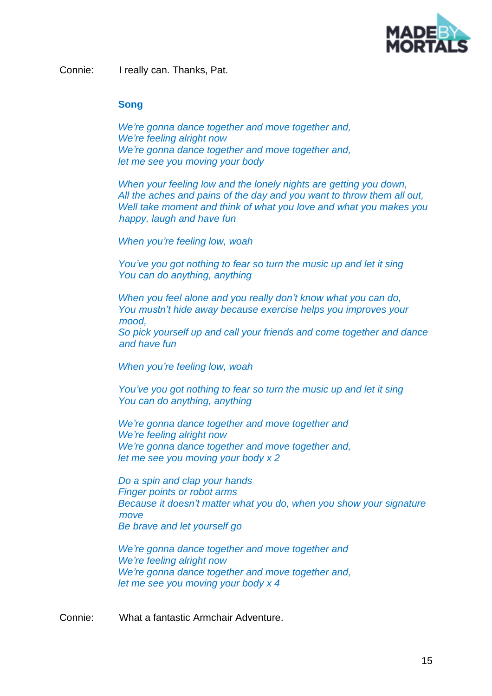

Connie: I really can. Thanks, Pat.

#### **Song**

*We're gonna dance together and move together and, We're feeling alright now We're gonna dance together and move together and, let me see you moving your body*

*When your feeling low and the lonely nights are getting you down, All the aches and pains of the day and you want to throw them all out, Well take moment and think of what you love and what you makes you happy, laugh and have fun*

*When you're feeling low, woah*

*You've you got nothing to fear so turn the music up and let it sing You can do anything, anything*

*When you feel alone and you really don't know what you can do, You mustn't hide away because exercise helps you improves your mood,*

*So pick yourself up and call your friends and come together and dance and have fun*

*When you're feeling low, woah*

*You've you got nothing to fear so turn the music up and let it sing You can do anything, anything*

*We're gonna dance together and move together and We're feeling alright now We're gonna dance together and move together and, let me see you moving your body x 2*

*Do a spin and clap your hands Finger points or robot arms Because it doesn't matter what you do, when you show your signature move Be brave and let yourself go*

*We're gonna dance together and move together and We're feeling alright now We're gonna dance together and move together and, let me see you moving your body x 4*

Connie: What a fantastic Armchair Adventure.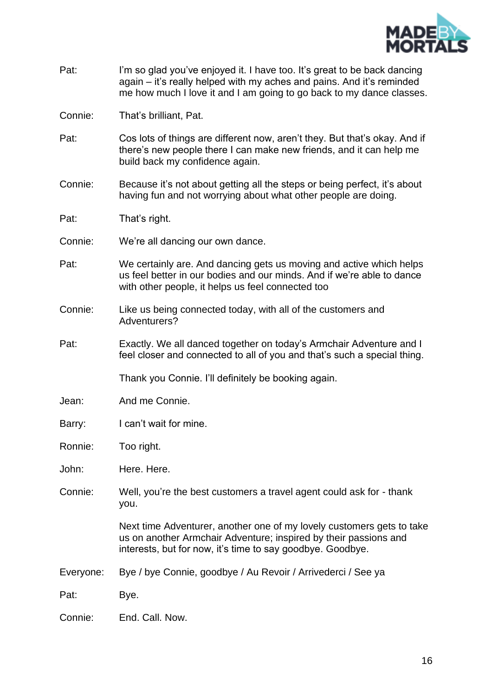

- Pat: I'm so glad you've enjoyed it. I have too. It's great to be back dancing again – it's really helped with my aches and pains. And it's reminded me how much I love it and I am going to go back to my dance classes.
- Connie: That's brilliant, Pat.
- Pat: Cos lots of things are different now, aren't they. But that's okay. And if there's new people there I can make new friends, and it can help me build back my confidence again.
- Connie: Because it's not about getting all the steps or being perfect, it's about having fun and not worrying about what other people are doing.
- Pat: That's right.
- Connie: We're all dancing our own dance.
- Pat: We certainly are. And dancing gets us moving and active which helps us feel better in our bodies and our minds. And if we're able to dance with other people, it helps us feel connected too
- Connie: Like us being connected today, with all of the customers and Adventurers?
- Pat: Exactly. We all danced together on today's Armchair Adventure and I feel closer and connected to all of you and that's such a special thing.

Thank you Connie. I'll definitely be booking again.

- Jean: And me Connie.
- Barry: I can't wait for mine.
- Ronnie: Too right.
- John: Here. Here.
- Connie: Well, you're the best customers a travel agent could ask for thank you.

Next time Adventurer, another one of my lovely customers gets to take us on another Armchair Adventure; inspired by their passions and interests, but for now, it's time to say goodbye. Goodbye.

- Everyone: Bye / bye Connie, goodbye / Au Revoir / Arrivederci / See ya
- Pat: Bye.
- Connie: End. Call. Now.